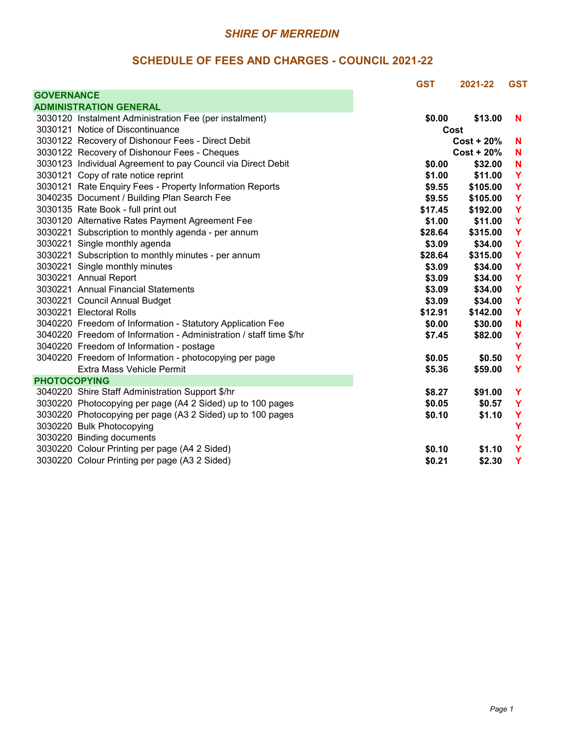|                     |                                                                    | <b>GST</b> | 2021-22       | <b>GST</b> |
|---------------------|--------------------------------------------------------------------|------------|---------------|------------|
| <b>GOVERNANCE</b>   |                                                                    |            |               |            |
|                     | <b>ADMINISTRATION GENERAL</b>                                      |            |               |            |
|                     | 3030120 Instalment Administration Fee (per instalment)             | \$0.00     | \$13.00       | N          |
|                     | 3030121 Notice of Discontinuance                                   |            | Cost          |            |
|                     | 3030122 Recovery of Dishonour Fees - Direct Debit                  |            | $Cost + 20\%$ | N          |
|                     | 3030122 Recovery of Dishonour Fees - Cheques                       |            | $Cost + 20%$  | N          |
|                     | 3030123 Individual Agreement to pay Council via Direct Debit       | \$0.00     | \$32.00       | N          |
|                     | 3030121 Copy of rate notice reprint                                | \$1.00     | \$11.00       | Y          |
|                     | 3030121 Rate Enquiry Fees - Property Information Reports           | \$9.55     | \$105.00      | Y          |
|                     | 3040235 Document / Building Plan Search Fee                        | \$9.55     | \$105.00      | Y          |
|                     | 3030135 Rate Book - full print out                                 | \$17.45    | \$192.00      | Y          |
|                     | 3030120 Alternative Rates Payment Agreement Fee                    | \$1.00     | \$11.00       | Y          |
|                     | 3030221 Subscription to monthly agenda - per annum                 | \$28.64    | \$315.00      | Y          |
|                     | 3030221 Single monthly agenda                                      | \$3.09     | \$34.00       | Y          |
|                     | 3030221 Subscription to monthly minutes - per annum                | \$28.64    | \$315.00      | Y          |
|                     | 3030221 Single monthly minutes                                     | \$3.09     | \$34.00       | Y          |
|                     | 3030221 Annual Report                                              | \$3.09     | \$34.00       | Y          |
|                     | 3030221 Annual Financial Statements                                | \$3.09     | \$34.00       | Y          |
|                     | 3030221 Council Annual Budget                                      | \$3.09     | \$34.00       | Y          |
|                     | 3030221 Electoral Rolls                                            | \$12.91    | \$142.00      | Y          |
|                     | 3040220 Freedom of Information - Statutory Application Fee         | \$0.00     | \$30.00       | N          |
|                     | 3040220 Freedom of Information - Administration / staff time \$/hr | \$7.45     | \$82.00       | Y          |
|                     | 3040220 Freedom of Information - postage                           |            |               | Y          |
|                     | 3040220 Freedom of Information - photocopying per page             | \$0.05     | \$0.50        | Y          |
|                     | Extra Mass Vehicle Permit                                          | \$5.36     | \$59.00       | Y          |
| <b>PHOTOCOPYING</b> |                                                                    |            |               |            |
|                     | 3040220 Shire Staff Administration Support \$/hr                   | \$8.27     | \$91.00       | Y          |
|                     | 3030220 Photocopying per page (A4 2 Sided) up to 100 pages         | \$0.05     | \$0.57        | Y          |
|                     | 3030220 Photocopying per page (A3 2 Sided) up to 100 pages         | \$0.10     | \$1.10        | Y          |
|                     | 3030220 Bulk Photocopying                                          |            |               | Y          |
|                     | 3030220 Binding documents                                          |            |               | Y          |
|                     | 3030220 Colour Printing per page (A4 2 Sided)                      | \$0.10     | \$1.10        | Y          |
|                     | 3030220 Colour Printing per page (A3 2 Sided)                      | \$0.21     | \$2.30        | Y          |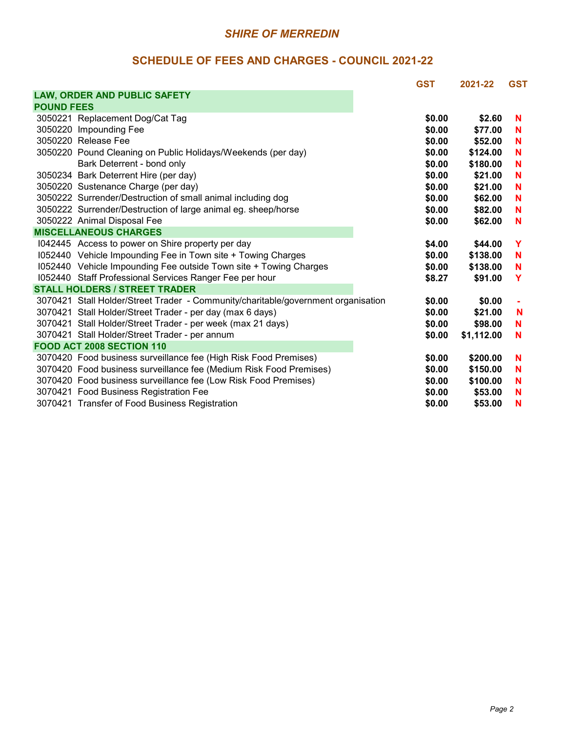|                   |                                                                                   | <b>GST</b> | 2021-22    | <b>GST</b> |
|-------------------|-----------------------------------------------------------------------------------|------------|------------|------------|
|                   | LAW, ORDER AND PUBLIC SAFETY                                                      |            |            |            |
| <b>POUND FEES</b> |                                                                                   |            |            |            |
|                   | 3050221 Replacement Dog/Cat Tag                                                   | \$0.00     | \$2.60     | N          |
|                   | 3050220 Impounding Fee                                                            | \$0.00     | \$77.00    | N          |
|                   | 3050220 Release Fee                                                               | \$0.00     | \$52.00    | N          |
|                   | 3050220 Pound Cleaning on Public Holidays/Weekends (per day)                      | \$0.00     | \$124.00   | N          |
|                   | Bark Deterrent - bond only                                                        | \$0.00     | \$180.00   | N          |
|                   | 3050234 Bark Deterrent Hire (per day)                                             | \$0.00     | \$21.00    | N          |
|                   | 3050220 Sustenance Charge (per day)                                               | \$0.00     | \$21.00    | N          |
|                   | 3050222 Surrender/Destruction of small animal including dog                       | \$0.00     | \$62.00    | N          |
|                   | 3050222 Surrender/Destruction of large animal eg. sheep/horse                     | \$0.00     | \$82.00    | N          |
|                   | 3050222 Animal Disposal Fee                                                       | \$0.00     | \$62.00    | N          |
|                   | <b>MISCELLANEOUS CHARGES</b>                                                      |            |            |            |
|                   | 1042445 Access to power on Shire property per day                                 | \$4.00     | \$44.00    | Y          |
|                   | 1052440 Vehicle Impounding Fee in Town site + Towing Charges                      | \$0.00     | \$138.00   | N          |
|                   | I052440 Vehicle Impounding Fee outside Town site + Towing Charges                 | \$0.00     | \$138.00   | N          |
|                   | 1052440 Staff Professional Services Ranger Fee per hour                           | \$8.27     | \$91.00    | Y          |
|                   | <b>STALL HOLDERS / STREET TRADER</b>                                              |            |            |            |
|                   | 3070421 Stall Holder/Street Trader - Community/charitable/government organisation | \$0.00     | \$0.00     |            |
|                   | 3070421 Stall Holder/Street Trader - per day (max 6 days)                         | \$0.00     | \$21.00    | N          |
|                   | 3070421 Stall Holder/Street Trader - per week (max 21 days)                       | \$0.00     | \$98.00    | N          |
|                   | 3070421 Stall Holder/Street Trader - per annum                                    | \$0.00     | \$1,112.00 | N          |
|                   | FOOD ACT 2008 SECTION 110                                                         |            |            |            |
|                   | 3070420 Food business surveillance fee (High Risk Food Premises)                  | \$0.00     | \$200.00   | N          |
|                   | 3070420 Food business surveillance fee (Medium Risk Food Premises)                | \$0.00     | \$150.00   | N          |
|                   | 3070420 Food business surveillance fee (Low Risk Food Premises)                   | \$0.00     | \$100.00   | N          |
|                   | 3070421 Food Business Registration Fee                                            | \$0.00     | \$53.00    | N          |
|                   | 3070421 Transfer of Food Business Registration                                    | \$0.00     | \$53.00    | N          |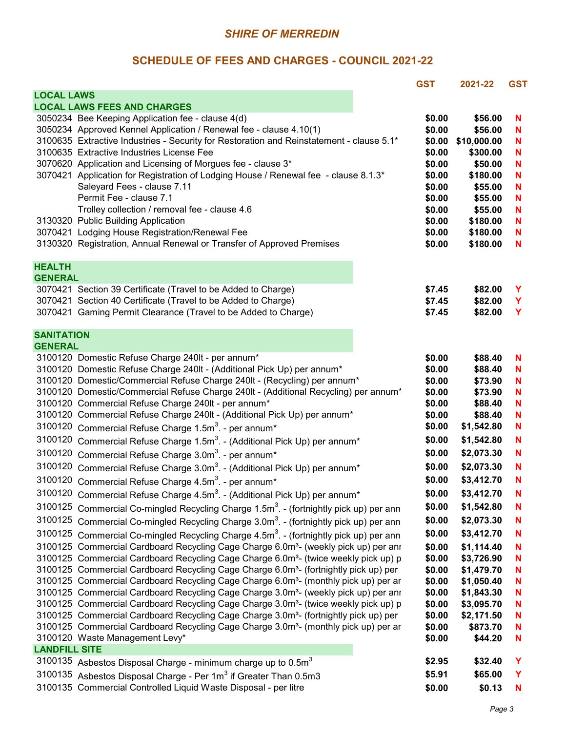|                                                                                                                         | <b>GST</b>       | 2021-22            | <b>GST</b> |
|-------------------------------------------------------------------------------------------------------------------------|------------------|--------------------|------------|
| <b>LOCAL LAWS</b>                                                                                                       |                  |                    |            |
| <b>LOCAL LAWS FEES AND CHARGES</b>                                                                                      |                  |                    |            |
| 3050234 Bee Keeping Application fee - clause 4(d)<br>3050234 Approved Kennel Application / Renewal fee - clause 4.10(1) | \$0.00<br>\$0.00 | \$56.00<br>\$56.00 | N<br>N     |
| 3100635 Extractive Industries - Security for Restoration and Reinstatement - clause 5.1*                                | \$0.00           | \$10,000.00        | N          |
| 3100635 Extractive Industries License Fee                                                                               | \$0.00           | \$300.00           | N          |
| 3070620 Application and Licensing of Morgues fee - clause 3*                                                            | \$0.00           | \$50.00            | N          |
| 3070421 Application for Registration of Lodging House / Renewal fee - clause 8.1.3*                                     | \$0.00           | \$180.00           | N          |
| Saleyard Fees - clause 7.11                                                                                             | \$0.00           | \$55.00            | N          |
| Permit Fee - clause 7.1                                                                                                 | \$0.00           | \$55.00            | N          |
| Trolley collection / removal fee - clause 4.6                                                                           | \$0.00           | \$55.00            | N          |
| 3130320 Public Building Application                                                                                     | \$0.00           | \$180.00           | N          |
| 3070421 Lodging House Registration/Renewal Fee                                                                          | \$0.00           | \$180.00           | N          |
| 3130320 Registration, Annual Renewal or Transfer of Approved Premises                                                   | \$0.00           | \$180.00           | N          |
| <b>HEALTH</b>                                                                                                           |                  |                    |            |
| <b>GENERAL</b>                                                                                                          |                  |                    |            |
| 3070421 Section 39 Certificate (Travel to be Added to Charge)                                                           | \$7.45           | \$82.00            | Y          |
| 3070421 Section 40 Certificate (Travel to be Added to Charge)                                                           | \$7.45           | \$82.00            | Y          |
| 3070421 Gaming Permit Clearance (Travel to be Added to Charge)                                                          | \$7.45           | \$82.00            | Y          |
| <b>SANITATION</b>                                                                                                       |                  |                    |            |
| <b>GENERAL</b>                                                                                                          |                  |                    |            |
| 3100120 Domestic Refuse Charge 240lt - per annum*                                                                       | \$0.00           | \$88.40            | N          |
| 3100120 Domestic Refuse Charge 240lt - (Additional Pick Up) per annum*                                                  | \$0.00           | \$88.40            | N          |
| 3100120 Domestic/Commercial Refuse Charge 240lt - (Recycling) per annum*                                                | \$0.00           | \$73.90            | N          |
| 3100120 Domestic/Commercial Refuse Charge 240lt - (Additional Recycling) per annum <sup>*</sup>                         | \$0.00           | \$73.90            | N          |
| 3100120 Commercial Refuse Charge 240lt - per annum*                                                                     | \$0.00           | \$88.40            | N          |
| 3100120 Commercial Refuse Charge 240lt - (Additional Pick Up) per annum*                                                | \$0.00           | \$88.40            | N          |
| 3100120 Commercial Refuse Charge 1.5m <sup>3</sup> . - per annum <sup>*</sup>                                           | \$0.00           | \$1,542.80         | N          |
| 3100120<br>Commercial Refuse Charge 1.5m <sup>3</sup> . - (Additional Pick Up) per annum <sup>*</sup>                   | \$0.00           | \$1,542.80         | N          |
| 3100120<br>Commercial Refuse Charge 3.0m <sup>3</sup> . - per annum <sup>*</sup>                                        | \$0.00           | \$2,073.30         | N          |
| 3100120 Commercial Refuse Charge 3.0m <sup>3</sup> . - (Additional Pick Up) per annum <sup>*</sup>                      | \$0.00           | \$2,073.30         | N          |
| 3100120 Commercial Refuse Charge 4.5m <sup>3</sup> . - per annum <sup>*</sup>                                           | \$0.00           | \$3,412.70         | N          |
| 3100120<br>Commercial Refuse Charge 4.5m <sup>3</sup> . - (Additional Pick Up) per annum <sup>*</sup>                   | \$0.00           | \$3,412.70         | N          |
| 3100125 Commercial Co-mingled Recycling Charge 1.5m <sup>3</sup> . - (fortnightly pick up) per ann                      | \$0.00           | \$1,542.80         | N          |
| 3100125 Commercial Co-mingled Recycling Charge 3.0m <sup>3</sup> . - (fortnightly pick up) per ann                      | \$0.00           | \$2,073.30         | N          |
| 3100125 Commercial Co-mingled Recycling Charge 4.5m <sup>3</sup> . - (fortnightly pick up) per ann                      | \$0.00           | \$3,412.70         | N          |
| 3100125 Commercial Cardboard Recycling Cage Charge 6.0m <sup>3</sup> - (weekly pick up) per anr                         | \$0.00           | \$1,114.40         | N          |
| 3100125 Commercial Cardboard Recycling Cage Charge 6.0m <sup>3</sup> - (twice weekly pick up) p                         | \$0.00           | \$3,726.90         | N          |
| 3100125 Commercial Cardboard Recycling Cage Charge 6.0m <sup>3</sup> - (fortnightly pick up) per                        | \$0.00           | \$1,479.70         | N          |
| 3100125 Commercial Cardboard Recycling Cage Charge 6.0m <sup>3</sup> - (monthly pick up) per ar                         | \$0.00           | \$1,050.40         | N          |
| 3100125 Commercial Cardboard Recycling Cage Charge 3.0m <sup>3</sup> - (weekly pick up) per anr                         | \$0.00           | \$1,843.30         | N          |
| 3100125 Commercial Cardboard Recycling Cage Charge 3.0m <sup>3</sup> - (twice weekly pick up) p                         | \$0.00           | \$3,095.70         | N          |
| 3100125 Commercial Cardboard Recycling Cage Charge 3.0m <sup>3</sup> - (fortnightly pick up) per                        | \$0.00           | \$2,171.50         | N          |
| 3100125 Commercial Cardboard Recycling Cage Charge 3.0m <sup>3</sup> - (monthly pick up) per ar                         | \$0.00           | \$873.70           | N          |
| 3100120 Waste Management Levy*                                                                                          | \$0.00           | \$44.20            | N          |
| <b>LANDFILL SITE</b>                                                                                                    |                  |                    |            |
| 3100135 Asbestos Disposal Charge - minimum charge up to 0.5 $m3$                                                        | \$2.95           | \$32.40            | Y          |
| 3100135 Asbestos Disposal Charge - Per 1m <sup>3</sup> if Greater Than 0.5m3                                            | \$5.91           | \$65.00            | Y          |
| 3100135 Commercial Controlled Liquid Waste Disposal - per litre                                                         | \$0.00           | \$0.13             | N          |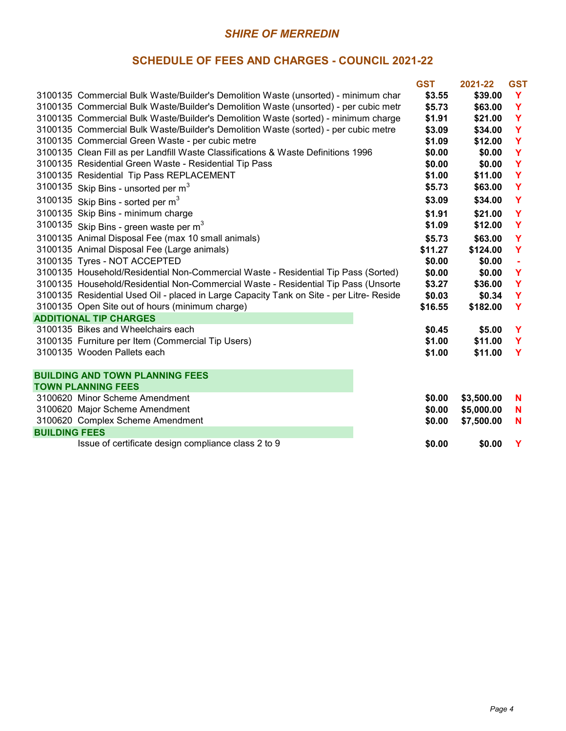|                      |                                                                                          | <b>GST</b> | 2021-22    | <b>GST</b> |
|----------------------|------------------------------------------------------------------------------------------|------------|------------|------------|
|                      | 3100135 Commercial Bulk Waste/Builder's Demolition Waste (unsorted) - minimum char       | \$3.55     | \$39.00    | Y          |
|                      | 3100135 Commercial Bulk Waste/Builder's Demolition Waste (unsorted) - per cubic metr     | \$5.73     | \$63.00    | Y          |
|                      | 3100135 Commercial Bulk Waste/Builder's Demolition Waste (sorted) - minimum charge       | \$1.91     | \$21.00    | Y          |
|                      | 3100135 Commercial Bulk Waste/Builder's Demolition Waste (sorted) - per cubic metre      | \$3.09     | \$34.00    | Y          |
|                      | 3100135 Commercial Green Waste - per cubic metre                                         | \$1.09     | \$12.00    | Y          |
|                      | 3100135 Clean Fill as per Landfill Waste Classifications & Waste Definitions 1996        | \$0.00     | \$0.00     | Y          |
|                      | 3100135 Residential Green Waste - Residential Tip Pass                                   | \$0.00     | \$0.00     | Y          |
|                      | 3100135 Residential Tip Pass REPLACEMENT                                                 | \$1.00     | \$11.00    | Y          |
|                      | 3100135 Skip Bins - unsorted per $m3$                                                    | \$5.73     | \$63.00    | Y          |
|                      | 3100135 Skip Bins - sorted per $m3$                                                      | \$3.09     | \$34.00    | Y          |
|                      | 3100135 Skip Bins - minimum charge                                                       | \$1.91     | \$21.00    | Y          |
|                      | 3100135 Skip Bins - green waste per $m3$                                                 | \$1.09     | \$12.00    | Y          |
|                      | 3100135 Animal Disposal Fee (max 10 small animals)                                       | \$5.73     | \$63.00    | Y          |
|                      | 3100135 Animal Disposal Fee (Large animals)                                              | \$11.27    | \$124.00   | Y          |
|                      | 3100135 Tyres - NOT ACCEPTED                                                             | \$0.00     | \$0.00     |            |
|                      | 3100135 Household/Residential Non-Commercial Waste - Residential Tip Pass (Sorted)       | \$0.00     | \$0.00     | Y          |
|                      | 3100135 Household/Residential Non-Commercial Waste - Residential Tip Pass (Unsorte       | \$3.27     | \$36.00    | Y          |
|                      | 3100135 Residential Used Oil - placed in Large Capacity Tank on Site - per Litre- Reside | \$0.03     | \$0.34     | Y          |
|                      | 3100135 Open Site out of hours (minimum charge)                                          | \$16.55    | \$182.00   | Y          |
|                      | <b>ADDITIONAL TIP CHARGES</b>                                                            |            |            |            |
|                      | 3100135 Bikes and Wheelchairs each                                                       | \$0.45     | \$5.00     | Y          |
|                      | 3100135 Furniture per Item (Commercial Tip Users)                                        | \$1.00     | \$11.00    | Y          |
|                      | 3100135 Wooden Pallets each                                                              | \$1.00     | \$11.00    | Y          |
|                      | <b>BUILDING AND TOWN PLANNING FEES</b>                                                   |            |            |            |
|                      | <b>TOWN PLANNING FEES</b>                                                                |            |            |            |
|                      | 3100620 Minor Scheme Amendment                                                           | \$0.00     | \$3,500.00 | N          |
|                      | 3100620 Major Scheme Amendment                                                           | \$0.00     | \$5,000.00 | N          |
|                      | 3100620 Complex Scheme Amendment                                                         | \$0.00     | \$7,500.00 | N          |
| <b>BUILDING FEES</b> |                                                                                          |            |            |            |
|                      | Issue of certificate design compliance class 2 to 9                                      | \$0.00     | \$0.00     | Y          |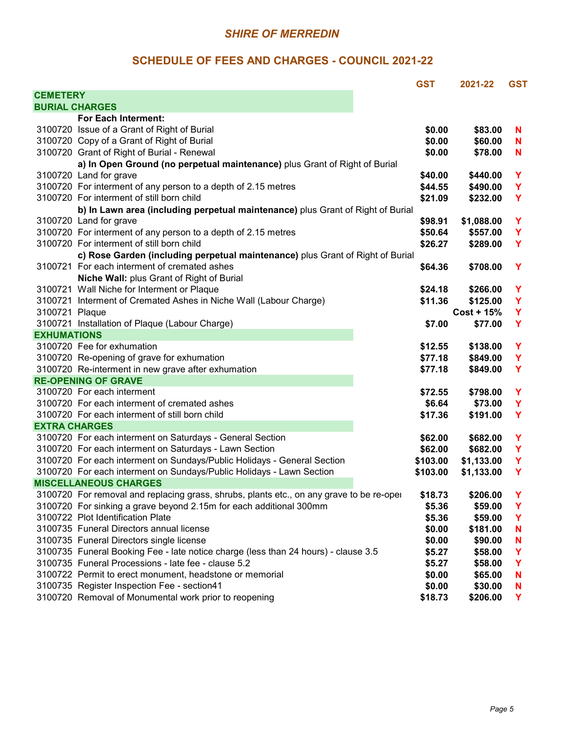|                      |                                                                                          | <b>GST</b> | 2021-22      | <b>GST</b> |
|----------------------|------------------------------------------------------------------------------------------|------------|--------------|------------|
| <b>CEMETERY</b>      |                                                                                          |            |              |            |
|                      | <b>BURIAL CHARGES</b>                                                                    |            |              |            |
|                      | For Each Interment:                                                                      |            |              |            |
|                      | 3100720 Issue of a Grant of Right of Burial                                              | \$0.00     | \$83.00      | N          |
|                      | 3100720 Copy of a Grant of Right of Burial                                               | \$0.00     | \$60.00      | N          |
|                      | 3100720 Grant of Right of Burial - Renewal                                               | \$0.00     | \$78.00      | N          |
|                      | a) In Open Ground (no perpetual maintenance) plus Grant of Right of Burial               |            |              |            |
|                      | 3100720 Land for grave                                                                   | \$40.00    | \$440.00     | Y          |
|                      | 3100720 For interment of any person to a depth of 2.15 metres                            | \$44.55    | \$490.00     | Y          |
|                      | 3100720 For interment of still born child                                                | \$21.09    | \$232.00     | Y          |
|                      | b) In Lawn area (including perpetual maintenance) plus Grant of Right of Burial          |            |              |            |
|                      | 3100720 Land for grave                                                                   | \$98.91    | \$1,088.00   | Y          |
|                      | 3100720 For interment of any person to a depth of 2.15 metres                            | \$50.64    | \$557.00     | Y          |
|                      | 3100720 For interment of still born child                                                | \$26.27    | \$289.00     | Y          |
|                      | c) Rose Garden (including perpetual maintenance) plus Grant of Right of Burial           |            |              |            |
|                      | 3100721 For each interment of cremated ashes                                             | \$64.36    | \$708.00     | Y          |
|                      | Niche Wall: plus Grant of Right of Burial                                                |            |              |            |
|                      | 3100721 Wall Niche for Interment or Plaque                                               | \$24.18    | \$266.00     | Y          |
|                      | 3100721 Interment of Cremated Ashes in Niche Wall (Labour Charge)                        | \$11.36    | \$125.00     | Y          |
| 3100721 Plaque       |                                                                                          |            | $Cost + 15%$ | Y          |
|                      | 3100721 Installation of Plaque (Labour Charge)                                           | \$7.00     | \$77.00      | Y          |
| <b>EXHUMATIONS</b>   |                                                                                          |            |              |            |
|                      | 3100720 Fee for exhumation                                                               | \$12.55    | \$138.00     | Y          |
|                      | 3100720 Re-opening of grave for exhumation                                               | \$77.18    | \$849.00     | Y          |
|                      | 3100720 Re-interment in new grave after exhumation                                       | \$77.18    | \$849.00     | Y          |
|                      | <b>RE-OPENING OF GRAVE</b>                                                               |            |              |            |
|                      | 3100720 For each interment                                                               | \$72.55    | \$798.00     | Y          |
|                      | 3100720 For each interment of cremated ashes                                             | \$6.64     | \$73.00      | Y          |
|                      | 3100720 For each interment of still born child                                           | \$17.36    | \$191.00     | Y          |
| <b>EXTRA CHARGES</b> |                                                                                          |            |              |            |
|                      | 3100720 For each interment on Saturdays - General Section                                | \$62.00    | \$682.00     | Y          |
|                      | 3100720 For each interment on Saturdays - Lawn Section                                   | \$62.00    | \$682.00     | Y          |
|                      | 3100720 For each interment on Sundays/Public Holidays - General Section                  | \$103.00   | \$1,133.00   | Y          |
|                      | 3100720 For each interment on Sundays/Public Holidays - Lawn Section                     | \$103.00   | \$1,133.00   | Y          |
|                      | <b>MISCELLANEOUS CHARGES</b>                                                             |            |              |            |
|                      | 3100720 For removal and replacing grass, shrubs, plants etc., on any grave to be re-oper | \$18.73    | \$206.00     | Y          |
|                      | 3100720 For sinking a grave beyond 2.15m for each additional 300mm                       | \$5.36     | \$59.00      | Y          |
|                      | 3100722 Plot Identification Plate                                                        | \$5.36     | \$59.00      | Y          |
|                      | 3100735 Funeral Directors annual license                                                 | \$0.00     | \$181.00     | N          |
|                      | 3100735 Funeral Directors single license                                                 | \$0.00     | \$90.00      | N          |
|                      | 3100735 Funeral Booking Fee - late notice charge (less than 24 hours) - clause 3.5       | \$5.27     | \$58.00      | Y          |
|                      | 3100735 Funeral Processions - late fee - clause 5.2                                      | \$5.27     | \$58.00      | Y          |
|                      | 3100722 Permit to erect monument, headstone or memorial                                  | \$0.00     | \$65.00      | N          |
|                      | 3100735 Register Inspection Fee - section41                                              | \$0.00     | \$30.00      | N          |
|                      | 3100720 Removal of Monumental work prior to reopening                                    | \$18.73    | \$206.00     | Y          |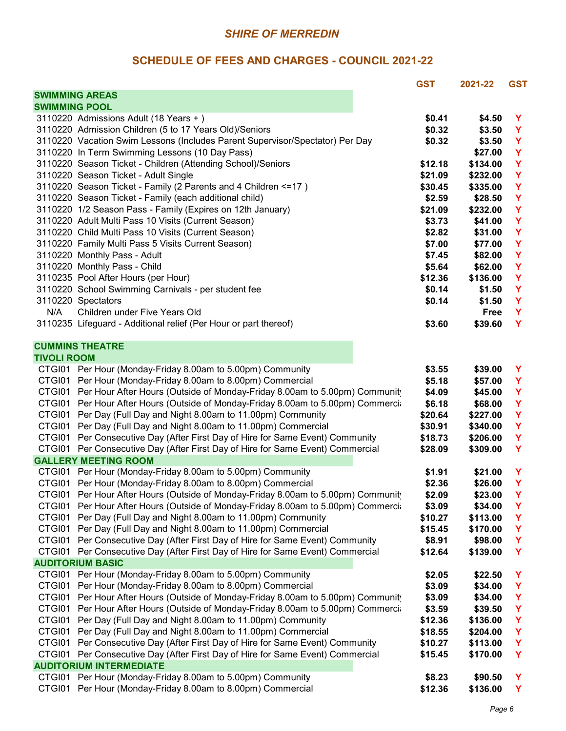|                      |                                                                                   | <b>GST</b> | 2021-22  | <b>GST</b>  |
|----------------------|-----------------------------------------------------------------------------------|------------|----------|-------------|
|                      | <b>SWIMMING AREAS</b>                                                             |            |          |             |
| <b>SWIMMING POOL</b> |                                                                                   |            |          |             |
|                      | 3110220 Admissions Adult (18 Years +)                                             | \$0.41     | \$4.50   | Y           |
|                      | 3110220 Admission Children (5 to 17 Years Old)/Seniors                            | \$0.32     | \$3.50   | Y           |
|                      | 3110220 Vacation Swim Lessons (Includes Parent Supervisor/Spectator) Per Day      | \$0.32     | \$3.50   | Y           |
|                      | 3110220 In Term Swimming Lessons (10 Day Pass)                                    |            | \$27.00  | Y           |
|                      | 3110220 Season Ticket - Children (Attending School)/Seniors                       | \$12.18    | \$134.00 | Y           |
|                      | 3110220 Season Ticket - Adult Single                                              | \$21.09    | \$232.00 | Y           |
|                      | 3110220 Season Ticket - Family (2 Parents and 4 Children <= 17)                   | \$30.45    | \$335.00 | Y           |
|                      | 3110220 Season Ticket - Family (each additional child)                            | \$2.59     | \$28.50  | Y           |
|                      | 3110220 1/2 Season Pass - Family (Expires on 12th January)                        | \$21.09    | \$232.00 | Y           |
|                      | 3110220 Adult Multi Pass 10 Visits (Current Season)                               | \$3.73     | \$41.00  | Y           |
|                      | 3110220 Child Multi Pass 10 Visits (Current Season)                               | \$2.82     | \$31.00  | Y           |
|                      | 3110220 Family Multi Pass 5 Visits Current Season)                                | \$7.00     | \$77.00  | Y           |
|                      | 3110220 Monthly Pass - Adult                                                      | \$7.45     | \$82.00  | Y           |
|                      | 3110220 Monthly Pass - Child                                                      | \$5.64     | \$62.00  | Y           |
|                      | 3110235 Pool After Hours (per Hour)                                               | \$12.36    | \$136.00 | $\mathbf Y$ |
|                      | 3110220 School Swimming Carnivals - per student fee                               | \$0.14     | \$1.50   | $\mathbf Y$ |
|                      | 3110220 Spectators                                                                | \$0.14     | \$1.50   | $\mathbf Y$ |
| N/A                  | Children under Five Years Old                                                     |            | Free     | Y           |
|                      | 3110235 Lifeguard - Additional relief (Per Hour or part thereof)                  | \$3.60     | \$39.60  | Y           |
|                      |                                                                                   |            |          |             |
|                      | <b>CUMMINS THEATRE</b>                                                            |            |          |             |
| <b>TIVOLI ROOM</b>   |                                                                                   |            |          |             |
|                      | CTGI01 Per Hour (Monday-Friday 8.00am to 5.00pm) Community                        | \$3.55     | \$39.00  | Y           |
|                      | CTGI01 Per Hour (Monday-Friday 8.00am to 8.00pm) Commercial                       | \$5.18     | \$57.00  | Y           |
|                      | CTGI01 Per Hour After Hours (Outside of Monday-Friday 8.00am to 5.00pm) Community | \$4.09     | \$45.00  | Y           |
|                      | CTGI01 Per Hour After Hours (Outside of Monday-Friday 8.00am to 5.00pm) Commercia | \$6.18     | \$68.00  | Y           |
|                      | CTGI01 Per Day (Full Day and Night 8.00am to 11.00pm) Community                   | \$20.64    | \$227.00 | Y           |
|                      | CTGI01 Per Day (Full Day and Night 8.00am to 11.00pm) Commercial                  | \$30.91    | \$340.00 | Y           |
|                      | CTGI01 Per Consecutive Day (After First Day of Hire for Same Event) Community     | \$18.73    | \$206.00 | Y           |
|                      | CTGI01 Per Consecutive Day (After First Day of Hire for Same Event) Commercial    | \$28.09    | \$309.00 | Y           |
|                      | <b>GALLERY MEETING ROOM</b>                                                       |            |          |             |
|                      | CTGI01 Per Hour (Monday-Friday 8.00am to 5.00pm) Community                        | \$1.91     | \$21.00  | Y           |
|                      | CTGI01 Per Hour (Monday-Friday 8.00am to 8.00pm) Commercial                       | \$2.36     | \$26.00  | Y           |
|                      | CTGI01 Per Hour After Hours (Outside of Monday-Friday 8.00am to 5.00pm) Community | \$2.09     | \$23.00  | Y           |
|                      | CTGI01 Per Hour After Hours (Outside of Monday-Friday 8.00am to 5.00pm) Commercia | \$3.09     | \$34.00  | Y           |
|                      | CTGI01 Per Day (Full Day and Night 8.00am to 11.00pm) Community                   | \$10.27    | \$113.00 | Y           |
|                      | CTGI01 Per Day (Full Day and Night 8.00am to 11.00pm) Commercial                  | \$15.45    | \$170.00 | Y           |
|                      | CTGI01 Per Consecutive Day (After First Day of Hire for Same Event) Community     | \$8.91     | \$98.00  | Y           |
| CTGI01               | Per Consecutive Day (After First Day of Hire for Same Event) Commercial           | \$12.64    | \$139.00 | Y           |
|                      | <b>AUDITORIUM BASIC</b>                                                           |            |          |             |
| CTGI01               | Per Hour (Monday-Friday 8.00am to 5.00pm) Community                               | \$2.05     | \$22.50  | Y           |
| CTGI01               | Per Hour (Monday-Friday 8.00am to 8.00pm) Commercial                              | \$3.09     | \$34.00  | Y           |
| CTGI01               | Per Hour After Hours (Outside of Monday-Friday 8.00am to 5.00pm) Community        | \$3.09     | \$34.00  | Y           |
| CTGI01               | Per Hour After Hours (Outside of Monday-Friday 8.00am to 5.00pm) Commercia        | \$3.59     | \$39.50  | Y           |
| CTGI01               | Per Day (Full Day and Night 8.00am to 11.00pm) Community                          | \$12.36    | \$136.00 | Y           |
| CTGI01               | Per Day (Full Day and Night 8.00am to 11.00pm) Commercial                         | \$18.55    | \$204.00 | Y           |
| CTGI01               | Per Consecutive Day (After First Day of Hire for Same Event) Community            | \$10.27    | \$113.00 | Y           |
| CTGI01               | Per Consecutive Day (After First Day of Hire for Same Event) Commercial           | \$15.45    | \$170.00 | Y           |
|                      | <b>AUDITORIUM INTERMEDIATE</b>                                                    |            |          |             |
|                      | CTGI01 Per Hour (Monday-Friday 8.00am to 5.00pm) Community                        | \$8.23     | \$90.50  | Y           |
|                      | CTGI01 Per Hour (Monday-Friday 8.00am to 8.00pm) Commercial                       | \$12.36    | \$136.00 | Y           |
|                      |                                                                                   |            |          |             |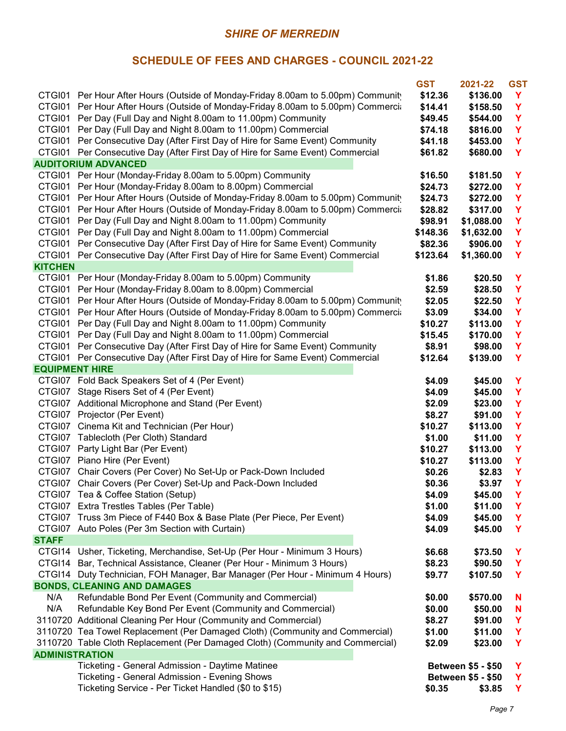|                       |                                                                                   | <b>GST</b> | 2021-22                   | <b>GST</b> |
|-----------------------|-----------------------------------------------------------------------------------|------------|---------------------------|------------|
|                       | CTGI01 Per Hour After Hours (Outside of Monday-Friday 8.00am to 5.00pm) Community | \$12.36    | \$136.00                  | Y          |
|                       | CTGI01 Per Hour After Hours (Outside of Monday-Friday 8.00am to 5.00pm) Commercia | \$14.41    | \$158.50                  | Y          |
|                       | CTGI01 Per Day (Full Day and Night 8.00am to 11.00pm) Community                   | \$49.45    | \$544.00                  | Y          |
| CTGI01                | Per Day (Full Day and Night 8.00am to 11.00pm) Commercial                         | \$74.18    | \$816.00                  | Y          |
| CTGI01                | Per Consecutive Day (After First Day of Hire for Same Event) Community            | \$41.18    | \$453.00                  | Y          |
| CTGI01                | Per Consecutive Day (After First Day of Hire for Same Event) Commercial           | \$61.82    | \$680.00                  | Y          |
|                       | <b>AUDITORIUM ADVANCED</b>                                                        |            |                           |            |
|                       | CTGI01 Per Hour (Monday-Friday 8.00am to 5.00pm) Community                        | \$16.50    | \$181.50                  | Y          |
| CTGI01                | Per Hour (Monday-Friday 8.00am to 8.00pm) Commercial                              | \$24.73    | \$272.00                  | Y          |
|                       | CTGI01 Per Hour After Hours (Outside of Monday-Friday 8.00am to 5.00pm) Community | \$24.73    | \$272.00                  | Y          |
|                       | CTGI01 Per Hour After Hours (Outside of Monday-Friday 8.00am to 5.00pm) Commercia | \$28.82    | \$317.00                  | Y          |
|                       | CTGI01 Per Day (Full Day and Night 8.00am to 11.00pm) Community                   | \$98.91    | \$1,088.00                | Y          |
|                       | CTGI01 Per Day (Full Day and Night 8.00am to 11.00pm) Commercial                  | \$148.36   | \$1,632.00                | Y          |
|                       | CTGI01 Per Consecutive Day (After First Day of Hire for Same Event) Community     | \$82.36    | \$906.00                  | Y          |
|                       | CTGI01 Per Consecutive Day (After First Day of Hire for Same Event) Commercial    | \$123.64   | \$1,360.00                | Υ          |
| <b>KITCHEN</b>        |                                                                                   |            |                           |            |
|                       | CTGI01 Per Hour (Monday-Friday 8.00am to 5.00pm) Community                        | \$1.86     | \$20.50                   | Y          |
|                       | CTGI01 Per Hour (Monday-Friday 8.00am to 8.00pm) Commercial                       | \$2.59     | \$28.50                   | Y          |
|                       | CTGI01 Per Hour After Hours (Outside of Monday-Friday 8.00am to 5.00pm) Community | \$2.05     | \$22.50                   | Y          |
|                       | CTGI01 Per Hour After Hours (Outside of Monday-Friday 8.00am to 5.00pm) Commercia | \$3.09     | \$34.00                   | Υ          |
|                       | CTGI01 Per Day (Full Day and Night 8.00am to 11.00pm) Community                   |            |                           | Υ          |
| CTGI01                |                                                                                   | \$10.27    | \$113.00                  |            |
|                       | Per Day (Full Day and Night 8.00am to 11.00pm) Commercial                         | \$15.45    | \$170.00                  | Y          |
| CTGI01                | Per Consecutive Day (After First Day of Hire for Same Event) Community            | \$8.91     | \$98.00                   | Y          |
| CTGI01                | Per Consecutive Day (After First Day of Hire for Same Event) Commercial           | \$12.64    | \$139.00                  | Y          |
| <b>EQUIPMENT HIRE</b> | CTGI07 Fold Back Speakers Set of 4 (Per Event)                                    |            |                           | Y          |
|                       |                                                                                   | \$4.09     | \$45.00                   |            |
|                       | CTGI07 Stage Risers Set of 4 (Per Event)                                          | \$4.09     | \$45.00                   | Y          |
|                       | CTGI07 Additional Microphone and Stand (Per Event)                                | \$2.09     | \$23.00                   | Y          |
|                       | CTGI07 Projector (Per Event)                                                      | \$8.27     | \$91.00                   | Y          |
|                       | CTGI07 Cinema Kit and Technician (Per Hour)                                       | \$10.27    | \$113.00                  | Y          |
|                       | CTGI07 Tablecloth (Per Cloth) Standard                                            | \$1.00     | \$11.00                   | Y          |
|                       | CTGI07 Party Light Bar (Per Event)                                                | \$10.27    | \$113.00                  | Y          |
|                       | CTGI07 Piano Hire (Per Event)                                                     | \$10.27    | \$113.00                  | Y          |
|                       | CTGI07 Chair Covers (Per Cover) No Set-Up or Pack-Down Included                   | \$0.26     | \$2.83                    | Y          |
|                       | CTGI07 Chair Covers (Per Cover) Set-Up and Pack-Down Included                     | \$0.36     | \$3.97                    | Υ          |
|                       | CTGI07 Tea & Coffee Station (Setup)                                               | \$4.09     | \$45.00                   | Y          |
|                       | CTGI07 Extra Trestles Tables (Per Table)                                          | \$1.00     | \$11.00                   | Y          |
|                       | CTGI07 Truss 3m Piece of F440 Box & Base Plate (Per Piece, Per Event)             | \$4.09     | \$45.00                   | Y          |
|                       | CTGI07 Auto Poles (Per 3m Section with Curtain)                                   | \$4.09     | \$45.00                   | Y          |
| <b>STAFF</b>          |                                                                                   |            |                           |            |
| CTGI14                | Usher, Ticketing, Merchandise, Set-Up (Per Hour - Minimum 3 Hours)                | \$6.68     | \$73.50                   | Y          |
| CTGI14                | Bar, Technical Assistance, Cleaner (Per Hour - Minimum 3 Hours)                   | \$8.23     | \$90.50                   | Y          |
|                       | CTGI14 Duty Technician, FOH Manager, Bar Manager (Per Hour - Minimum 4 Hours)     | \$9.77     | \$107.50                  | Y          |
|                       | <b>BONDS, CLEANING AND DAMAGES</b>                                                |            |                           |            |
| N/A                   | Refundable Bond Per Event (Community and Commercial)                              | \$0.00     | \$570.00                  | N          |
| N/A                   | Refundable Key Bond Per Event (Community and Commercial)                          | \$0.00     | \$50.00                   | N          |
|                       | 3110720 Additional Cleaning Per Hour (Community and Commercial)                   | \$8.27     | \$91.00                   | Y          |
|                       | 3110720 Tea Towel Replacement (Per Damaged Cloth) (Community and Commercial)      | \$1.00     | \$11.00                   | Y          |
|                       | 3110720 Table Cloth Replacement (Per Damaged Cloth) (Community and Commercial)    | \$2.09     | \$23.00                   | Y          |
| <b>ADMINISTRATION</b> |                                                                                   |            |                           |            |
|                       | Ticketing - General Admission - Daytime Matinee                                   |            | <b>Between \$5 - \$50</b> | Y          |
|                       | Ticketing - General Admission - Evening Shows                                     |            | <b>Between \$5 - \$50</b> | Y          |
|                       | Ticketing Service - Per Ticket Handled (\$0 to \$15)                              | \$0.35     | \$3.85                    | Y.         |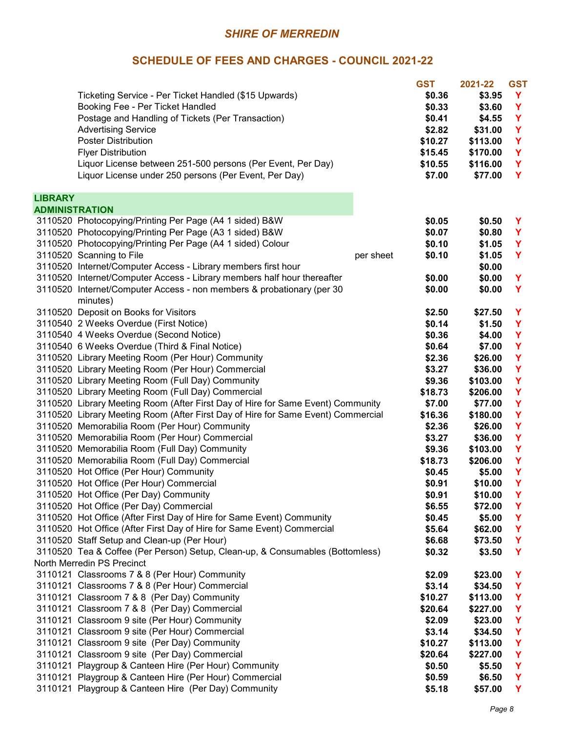|                |                                                                                                             |           | <b>GST</b> | 2021-22  | <b>GST</b> |
|----------------|-------------------------------------------------------------------------------------------------------------|-----------|------------|----------|------------|
|                | Ticketing Service - Per Ticket Handled (\$15 Upwards)                                                       |           | \$0.36     | \$3.95   | Y          |
|                | Booking Fee - Per Ticket Handled                                                                            |           | \$0.33     | \$3.60   | Y          |
|                | Postage and Handling of Tickets (Per Transaction)                                                           |           | \$0.41     | \$4.55   | Y          |
|                | <b>Advertising Service</b>                                                                                  |           | \$2.82     | \$31.00  | Y          |
|                | <b>Poster Distribution</b>                                                                                  |           | \$10.27    | \$113.00 | Y          |
|                | <b>Flyer Distribution</b>                                                                                   |           | \$15.45    | \$170.00 | Y          |
|                | Liquor License between 251-500 persons (Per Event, Per Day)                                                 |           | \$10.55    | \$116.00 | Y          |
|                | Liquor License under 250 persons (Per Event, Per Day)                                                       |           | \$7.00     | \$77.00  | Y          |
| <b>LIBRARY</b> |                                                                                                             |           |            |          |            |
| ADMINISTRATION |                                                                                                             |           |            |          |            |
|                | 3110520 Photocopying/Printing Per Page (A4 1 sided) B&W                                                     |           | \$0.05     | \$0.50   | Y          |
|                | 3110520 Photocopying/Printing Per Page (A3 1 sided) B&W                                                     |           | \$0.07     | \$0.80   | Y          |
|                | 3110520 Photocopying/Printing Per Page (A4 1 sided) Colour                                                  |           | \$0.10     | \$1.05   | Y          |
|                | 3110520 Scanning to File                                                                                    | per sheet | \$0.10     | \$1.05   | Y          |
|                | 3110520 Internet/Computer Access - Library members first hour                                               |           |            | \$0.00   |            |
|                | 3110520 Internet/Computer Access - Library members half hour thereafter                                     |           | \$0.00     | \$0.00   | Y          |
|                | 3110520 Internet/Computer Access - non members & probationary (per 30<br>minutes)                           |           | \$0.00     | \$0.00   | Y          |
|                | 3110520 Deposit on Books for Visitors                                                                       |           | \$2.50     | \$27.50  | Y          |
|                | 3110540 2 Weeks Overdue (First Notice)                                                                      |           | \$0.14     | \$1.50   | Y          |
|                | 3110540 4 Weeks Overdue (Second Notice)                                                                     |           | \$0.36     | \$4.00   | Y          |
|                | 3110540 6 Weeks Overdue (Third & Final Notice)                                                              |           | \$0.64     | \$7.00   | Y          |
|                | 3110520 Library Meeting Room (Per Hour) Community                                                           |           | \$2.36     | \$26.00  | Y          |
|                | 3110520 Library Meeting Room (Per Hour) Commercial                                                          |           | \$3.27     | \$36.00  | Y          |
|                | 3110520 Library Meeting Room (Full Day) Community                                                           |           | \$9.36     | \$103.00 | Y          |
|                | 3110520 Library Meeting Room (Full Day) Commercial                                                          |           | \$18.73    | \$206.00 | Y          |
|                | 3110520 Library Meeting Room (After First Day of Hire for Same Event) Community                             |           | \$7.00     | \$77.00  | Y          |
|                | 3110520 Library Meeting Room (After First Day of Hire for Same Event) Commercial                            |           | \$16.36    | \$180.00 | Y          |
|                | 3110520 Memorabilia Room (Per Hour) Community                                                               |           | \$2.36     | \$26.00  | Y          |
|                | 3110520 Memorabilia Room (Per Hour) Commercial                                                              |           | \$3.27     | \$36.00  | Y          |
|                | 3110520 Memorabilia Room (Full Day) Community                                                               |           | \$9.36     | \$103.00 | Y          |
|                | 3110520 Memorabilia Room (Full Day) Commercial                                                              |           | \$18.73    | \$206.00 | Y          |
|                | 3110520 Hot Office (Per Hour) Community                                                                     |           | \$0.45     | \$5.00   | Y          |
|                | 3110520 Hot Office (Per Hour) Commercial                                                                    |           | \$0.91     | \$10.00  | Y          |
|                | 3110520 Hot Office (Per Day) Community                                                                      |           | \$0.91     | \$10.00  | Y          |
|                | 3110520 Hot Office (Per Day) Commercial                                                                     |           | \$6.55     | \$72.00  | Y          |
|                | 3110520 Hot Office (After First Day of Hire for Same Event) Community                                       |           | \$0.45     | \$5.00   | Y          |
|                | 3110520 Hot Office (After First Day of Hire for Same Event) Commercial                                      |           | \$5.64     | \$62.00  | Y          |
|                | 3110520 Staff Setup and Clean-up (Per Hour)                                                                 |           | \$6.68     | \$73.50  | Y          |
|                | 3110520 Tea & Coffee (Per Person) Setup, Clean-up, & Consumables (Bottomless)<br>North Merredin PS Precinct |           | \$0.32     | \$3.50   | Y          |
|                | 3110121 Classrooms 7 & 8 (Per Hour) Community                                                               |           | \$2.09     | \$23.00  | Y          |
|                | 3110121 Classrooms 7 & 8 (Per Hour) Commercial                                                              |           | \$3.14     | \$34.50  | Y          |
|                | 3110121 Classroom 7 & 8 (Per Day) Community                                                                 |           | \$10.27    | \$113.00 | Y          |
|                | 3110121 Classroom 7 & 8 (Per Day) Commercial                                                                |           | \$20.64    | \$227.00 | Y          |
|                | 3110121 Classroom 9 site (Per Hour) Community                                                               |           | \$2.09     | \$23.00  | Y          |
|                | 3110121 Classroom 9 site (Per Hour) Commercial                                                              |           | \$3.14     | \$34.50  | Y          |
|                | 3110121 Classroom 9 site (Per Day) Community                                                                |           | \$10.27    | \$113.00 | Y          |
|                | 3110121 Classroom 9 site (Per Day) Commercial                                                               |           | \$20.64    | \$227.00 | Y          |
|                | 3110121 Playgroup & Canteen Hire (Per Hour) Community                                                       |           | \$0.50     | \$5.50   | Y          |
|                | 3110121 Playgroup & Canteen Hire (Per Hour) Commercial                                                      |           | \$0.59     | \$6.50   | Y          |
|                | 3110121 Playgroup & Canteen Hire (Per Day) Community                                                        |           | \$5.18     | \$57.00  | Y          |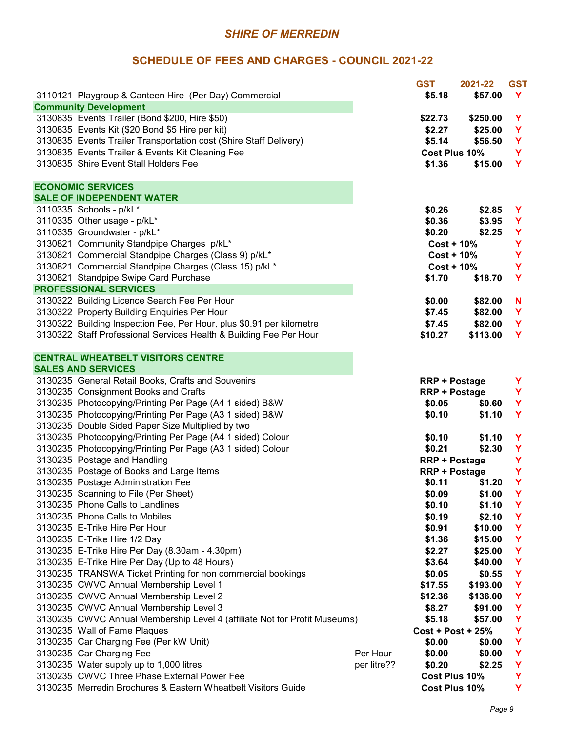|                                                                           |             | <b>GST</b>           | 2021-22  | <b>GST</b> |
|---------------------------------------------------------------------------|-------------|----------------------|----------|------------|
| 3110121 Playgroup & Canteen Hire (Per Day) Commercial                     |             | \$5.18               | \$57.00  | <b>Y</b>   |
| <b>Community Development</b>                                              |             |                      |          |            |
| 3130835 Events Trailer (Bond \$200, Hire \$50)                            |             | \$22.73              | \$250.00 | Y          |
| 3130835 Events Kit (\$20 Bond \$5 Hire per kit)                           |             | \$2.27               | \$25.00  | Y          |
| 3130835 Events Trailer Transportation cost (Shire Staff Delivery)         |             | \$5.14               | \$56.50  | Y          |
| 3130835 Events Trailer & Events Kit Cleaning Fee                          |             | Cost Plus 10%        |          | Y          |
| 3130835 Shire Event Stall Holders Fee                                     |             | \$1.36               | \$15.00  | Y          |
|                                                                           |             |                      |          |            |
| <b>ECONOMIC SERVICES</b>                                                  |             |                      |          |            |
| <b>SALE OF INDEPENDENT WATER</b>                                          |             |                      |          |            |
| 3110335 Schools - p/kL*                                                   |             | \$0.26               | \$2.85   | Y          |
| 3110335 Other usage - p/kL*                                               |             | \$0.36               | \$3.95   | Y          |
| 3110335 Groundwater - p/kL*                                               |             | \$0.20               | \$2.25   | Y          |
| 3130821 Community Standpipe Charges p/kL*                                 |             | $Cost + 10\%$        |          | Y          |
| 3130821 Commercial Standpipe Charges (Class 9) p/kL*                      |             | $Cost + 10\%$        |          | Y          |
| 3130821 Commercial Standpipe Charges (Class 15) p/kL*                     |             | $Cost + 10\%$        |          | Y          |
| 3130821 Standpipe Swipe Card Purchase                                     |             | \$1.70               | \$18.70  | Y          |
| <b>PROFESSIONAL SERVICES</b>                                              |             |                      |          |            |
| 3130322 Building Licence Search Fee Per Hour                              |             | \$0.00               | \$82.00  | N          |
| 3130322 Property Building Enquiries Per Hour                              |             | \$7.45               | \$82.00  | Y          |
| 3130322 Building Inspection Fee, Per Hour, plus \$0.91 per kilometre      |             | \$7.45               | \$82.00  | Y          |
| 3130322 Staff Professional Services Health & Building Fee Per Hour        |             | \$10.27              | \$113.00 | Y          |
|                                                                           |             |                      |          |            |
| <b>CENTRAL WHEATBELT VISITORS CENTRE</b>                                  |             |                      |          |            |
| <b>SALES AND SERVICES</b>                                                 |             |                      |          |            |
| 3130235 General Retail Books, Crafts and Souvenirs                        |             | <b>RRP + Postage</b> |          | Y          |
| 3130235 Consignment Books and Crafts                                      |             | <b>RRP + Postage</b> |          | Y          |
| 3130235 Photocopying/Printing Per Page (A4 1 sided) B&W                   |             | \$0.05               | \$0.60   | Y          |
| 3130235 Photocopying/Printing Per Page (A3 1 sided) B&W                   |             | \$0.10               | \$1.10   | Y          |
| 3130235 Double Sided Paper Size Multiplied by two                         |             |                      |          |            |
| 3130235 Photocopying/Printing Per Page (A4 1 sided) Colour                |             |                      |          |            |
|                                                                           |             | \$0.10               | \$1.10   | Y          |
| 3130235 Photocopying/Printing Per Page (A3 1 sided) Colour                |             | \$0.21               | \$2.30   | Y          |
| 3130235 Postage and Handling                                              |             | <b>RRP + Postage</b> |          | Y          |
| 3130235 Postage of Books and Large Items                                  |             | <b>RRP + Postage</b> |          | Y          |
| 3130235 Postage Administration Fee                                        |             | \$0.11               | \$1.20   | Y          |
| 3130235 Scanning to File (Per Sheet)                                      |             | \$0.09               | \$1.00   | Y          |
| 3130235 Phone Calls to Landlines                                          |             | \$0.10               | \$1.10   | Y          |
| 3130235 Phone Calls to Mobiles                                            |             | \$0.19               | \$2.10   | Y          |
| 3130235 E-Trike Hire Per Hour                                             |             | \$0.91               | \$10.00  | Y          |
| 3130235 E-Trike Hire 1/2 Day                                              |             | \$1.36               | \$15.00  | Y          |
| 3130235 E-Trike Hire Per Day (8.30am - 4.30pm)                            |             | \$2.27               | \$25.00  | Y          |
| 3130235 E-Trike Hire Per Day (Up to 48 Hours)                             |             | \$3.64               | \$40.00  | Y          |
| 3130235 TRANSWA Ticket Printing for non commercial bookings               |             | \$0.05               | \$0.55   | Y          |
| 3130235 CWVC Annual Membership Level 1                                    |             | \$17.55              | \$193.00 | Y          |
| 3130235 CWVC Annual Membership Level 2                                    |             | \$12.36              | \$136.00 | Y          |
| 3130235 CWVC Annual Membership Level 3                                    |             | \$8.27               | \$91.00  | Y          |
| 3130235 CWVC Annual Membership Level 4 (affiliate Not for Profit Museums) |             | \$5.18               | \$57.00  | Y          |
| 3130235 Wall of Fame Plaques                                              |             | $Cost + Post + 25%$  |          | Y          |
| 3130235 Car Charging Fee (Per kW Unit)                                    |             | \$0.00               | \$0.00   | Y          |
| 3130235 Car Charging Fee                                                  | Per Hour    | \$0.00               | \$0.00   | Y          |
| 3130235 Water supply up to 1,000 litres                                   | per litre?? | \$0.20               | \$2.25   | Y          |
| 3130235 CWVC Three Phase External Power Fee                               |             | Cost Plus 10%        |          | Y          |
| 3130235 Merredin Brochures & Eastern Wheatbelt Visitors Guide             |             | Cost Plus 10%        |          | Y          |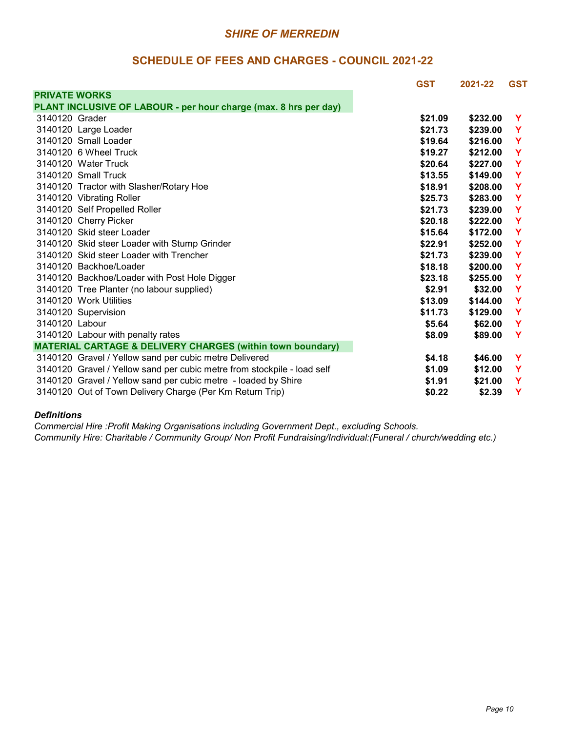#### **SCHEDULE OF FEES AND CHARGES - COUNCIL 2021-22**

|                      |                                                                         | <b>GST</b> | 2021-22  | <b>GST</b>  |
|----------------------|-------------------------------------------------------------------------|------------|----------|-------------|
| <b>PRIVATE WORKS</b> |                                                                         |            |          |             |
|                      | PLANT INCLUSIVE OF LABOUR - per hour charge (max. 8 hrs per day)        |            |          |             |
| 3140120 Grader       |                                                                         | \$21.09    | \$232.00 | Y           |
|                      | 3140120 Large Loader                                                    | \$21.73    | \$239,00 | Y           |
|                      | 3140120 Small Loader                                                    | \$19.64    | \$216.00 | Y           |
|                      | 3140120 6 Wheel Truck                                                   | \$19.27    | \$212.00 | Y           |
|                      | 3140120 Water Truck                                                     | \$20.64    | \$227,00 | Y           |
|                      | 3140120 Small Truck                                                     | \$13.55    | \$149.00 | Y           |
|                      | 3140120 Tractor with Slasher/Rotary Hoe                                 | \$18.91    | \$208.00 | Y           |
|                      | 3140120 Vibrating Roller                                                | \$25.73    | \$283.00 | Y           |
|                      | 3140120 Self Propelled Roller                                           | \$21.73    | \$239.00 | Y           |
|                      | 3140120 Cherry Picker                                                   | \$20.18    | \$222,00 | Y           |
|                      | 3140120 Skid steer Loader                                               | \$15.64    | \$172.00 | Y           |
|                      | 3140120 Skid steer Loader with Stump Grinder                            | \$22.91    | \$252.00 | Y           |
|                      | 3140120 Skid steer Loader with Trencher                                 | \$21.73    | \$239.00 | Y           |
|                      | 3140120 Backhoe/Loader                                                  | \$18.18    | \$200.00 | Y           |
|                      | 3140120 Backhoe/Loader with Post Hole Digger                            | \$23.18    | \$255.00 | Y           |
|                      | 3140120 Tree Planter (no labour supplied)                               | \$2.91     | \$32.00  | $\mathbf Y$ |
|                      | 3140120 Work Utilities                                                  | \$13.09    | \$144.00 | Y           |
|                      | 3140120 Supervision                                                     | \$11.73    | \$129.00 | Y           |
| 3140120 Labour       |                                                                         | \$5.64     | \$62.00  | Y           |
|                      | 3140120 Labour with penalty rates                                       | \$8.09     | \$89.00  | Y           |
|                      | <b>MATERIAL CARTAGE &amp; DELIVERY CHARGES (within town boundary)</b>   |            |          |             |
|                      | 3140120 Gravel / Yellow sand per cubic metre Delivered                  | \$4.18     | \$46.00  | Y           |
|                      | 3140120 Gravel / Yellow sand per cubic metre from stockpile - load self | \$1.09     | \$12.00  | Y           |
|                      | 3140120 Gravel / Yellow sand per cubic metre - loaded by Shire          | \$1.91     | \$21.00  | Y           |
|                      | 3140120 Out of Town Delivery Charge (Per Km Return Trip)                | \$0.22     | \$2.39   | Y           |

#### *Definitions*

*Commercial Hire :Profit Making Organisations including Government Dept., excluding Schools.*

*Community Hire: Charitable / Community Group/ Non Profit Fundraising/Individual:(Funeral / church/wedding etc.)*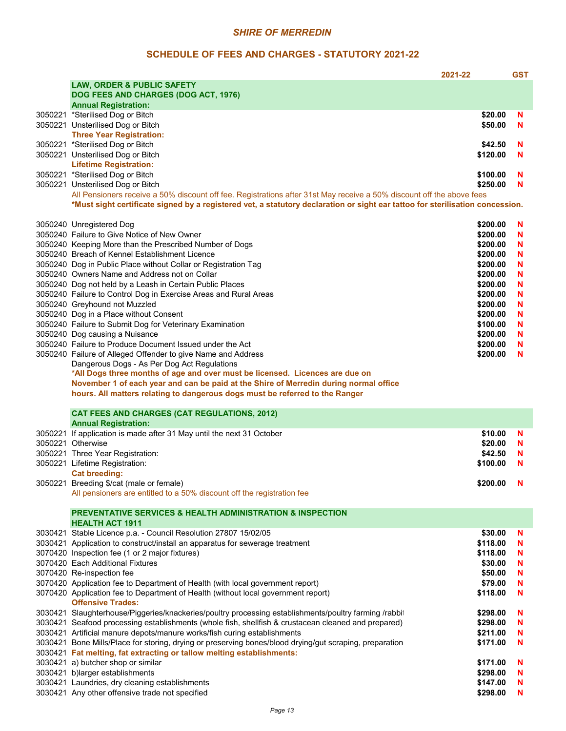#### **SCHEDULE OF FEES AND CHARGES - STATUTORY 2021-22**

|                                                                                                                               | 2021-22  | <b>GST</b> |
|-------------------------------------------------------------------------------------------------------------------------------|----------|------------|
| <b>LAW, ORDER &amp; PUBLIC SAFETY</b>                                                                                         |          |            |
| DOG FEES AND CHARGES (DOG ACT, 1976)                                                                                          |          |            |
| <b>Annual Registration:</b>                                                                                                   | \$20.00  |            |
| 3050221 *Sterilised Dog or Bitch<br>3050221 Unsterilised Dog or Bitch                                                         | \$50.00  | N<br>N     |
| <b>Three Year Registration:</b>                                                                                               |          |            |
| 3050221 *Sterilised Dog or Bitch                                                                                              | \$42.50  | N          |
| 3050221 Unsterilised Dog or Bitch                                                                                             | \$120.00 | N          |
| <b>Lifetime Registration:</b>                                                                                                 |          |            |
| 3050221 *Sterilised Dog or Bitch                                                                                              | \$100.00 | N          |
| 3050221 Unsterilised Dog or Bitch                                                                                             | \$250.00 | N          |
| All Pensioners receive a 50% discount off fee. Registrations after 31st May receive a 50% discount off the above fees         |          |            |
| *Must sight certificate signed by a registered vet, a statutory declaration or sight ear tattoo for sterilisation concession. |          |            |
|                                                                                                                               |          |            |
| 3050240 Unregistered Dog                                                                                                      | \$200.00 | N          |
| 3050240 Failure to Give Notice of New Owner                                                                                   | \$200.00 | N          |
| 3050240 Keeping More than the Prescribed Number of Dogs                                                                       | \$200.00 | N          |
| 3050240 Breach of Kennel Establishment Licence                                                                                | \$200.00 | N          |
| 3050240 Dog in Public Place without Collar or Registration Tag                                                                | \$200.00 | N          |
| 3050240 Owners Name and Address not on Collar                                                                                 | \$200.00 | N          |
| 3050240 Dog not held by a Leash in Certain Public Places                                                                      | \$200.00 | N          |
| 3050240 Failure to Control Dog in Exercise Areas and Rural Areas                                                              | \$200.00 | N          |
| 3050240 Greyhound not Muzzled                                                                                                 | \$200.00 | N          |
| 3050240 Dog in a Place without Consent                                                                                        | \$200.00 | N          |
| 3050240 Failure to Submit Dog for Veterinary Examination                                                                      | \$100.00 | N          |
| 3050240 Dog causing a Nuisance                                                                                                | \$200.00 | N          |
| 3050240 Failure to Produce Document Issued under the Act                                                                      | \$200.00 | N          |
| 3050240 Failure of Alleged Offender to give Name and Address                                                                  | \$200.00 | N          |
| Dangerous Dogs - As Per Dog Act Regulations                                                                                   |          |            |
| *All Dogs three months of age and over must be licensed. Licences are due on                                                  |          |            |
| November 1 of each year and can be paid at the Shire of Merredin during normal office                                         |          |            |
| hours. All matters relating to dangerous dogs must be referred to the Ranger                                                  |          |            |
| <b>CAT FEES AND CHARGES (CAT REGULATIONS, 2012)</b>                                                                           |          |            |
| <b>Annual Registration:</b>                                                                                                   |          |            |
| 3050221 If application is made after 31 May until the next 31 October                                                         | \$10.00  | N          |
| 3050221 Otherwise                                                                                                             | \$20.00  | N          |
| 3050221 Three Year Registration:                                                                                              | \$42.50  | N          |
| 3050221 Lifetime Registration:                                                                                                | \$100.00 | N          |
| <b>Cat breeding:</b>                                                                                                          |          |            |
| 3050221 Breeding \$/cat (male or female)                                                                                      | \$200.00 | - N        |
| All pensioners are entitled to a 50% discount off the registration fee                                                        |          |            |
|                                                                                                                               |          |            |
| <b>PREVENTATIVE SERVICES &amp; HEALTH ADMINISTRATION &amp; INSPECTION</b>                                                     |          |            |
| <b>HEALTH ACT 1911</b>                                                                                                        |          |            |
| 3030421 Stable Licence p.a. - Council Resolution 27807 15/02/05                                                               | \$30.00  | N          |
| 3030421 Application to construct/install an apparatus for sewerage treatment                                                  | \$118.00 | N          |
| 3070420 Inspection fee (1 or 2 major fixtures)                                                                                | \$118.00 | N          |
| 3070420 Each Additional Fixtures                                                                                              | \$30.00  | N          |
| 3070420 Re-inspection fee                                                                                                     | \$50.00  | N          |
| 3070420 Application fee to Department of Health (with local government report)                                                | \$79.00  | N          |
| 3070420 Application fee to Department of Health (without local government report)                                             | \$118.00 | N          |
| <b>Offensive Trades:</b>                                                                                                      |          |            |
| 3030421 Slaughterhouse/Piggeries/knackeries/poultry processing establishments/poultry farming /rabbit                         | \$298.00 | N          |
| 3030421 Seafood processing establishments (whole fish, shellfish & crustacean cleaned and prepared)                           | \$298.00 | N          |
| 3030421 Artificial manure depots/manure works/fish curing establishments                                                      | \$211.00 | N          |
| 3030421 Bone Mills/Place for storing, drying or preserving bones/blood drying/gut scraping, preparation                       | \$171.00 | N          |
| 3030421 Fat melting, fat extracting or tallow melting establishments:                                                         |          |            |
| 3030421 a) butcher shop or similar                                                                                            | \$171.00 | N          |
| 3030421 b)larger establishments                                                                                               | \$298.00 | N          |
| 3030421 Laundries, dry cleaning establishments                                                                                | \$147.00 | N          |
| 3030421 Any other offensive trade not specified                                                                               | \$298.00 | N          |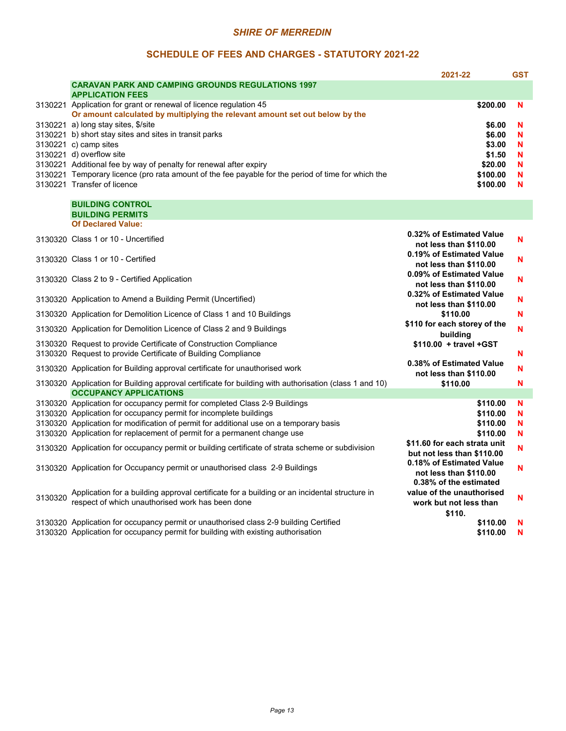#### **SCHEDULE OF FEES AND CHARGES - STATUTORY 2021-22**

|         |                                                                                                                                                   | 2021-22                                                                      | <b>GST</b> |
|---------|---------------------------------------------------------------------------------------------------------------------------------------------------|------------------------------------------------------------------------------|------------|
|         | <b>CARAVAN PARK AND CAMPING GROUNDS REGULATIONS 1997</b>                                                                                          |                                                                              |            |
|         | <b>APPLICATION FEES</b>                                                                                                                           |                                                                              |            |
|         | 3130221 Application for grant or renewal of licence regulation 45<br>Or amount calculated by multiplying the relevant amount set out below by the | \$200.00                                                                     | N          |
|         | 3130221 a) long stay sites, \$/site                                                                                                               | \$6.00                                                                       | N          |
|         | 3130221 b) short stay sites and sites in transit parks                                                                                            | \$6.00                                                                       | N          |
|         | 3130221 c) camp sites                                                                                                                             | \$3.00                                                                       | N          |
|         | 3130221 d) overflow site                                                                                                                          | \$1.50                                                                       | N          |
|         | 3130221 Additional fee by way of penalty for renewal after expiry                                                                                 | \$20.00                                                                      | N          |
|         | 3130221 Temporary licence (pro rata amount of the fee payable for the period of time for which the                                                | \$100.00                                                                     | N          |
|         | 3130221 Transfer of licence                                                                                                                       | \$100.00                                                                     | N          |
|         | <b>BUILDING CONTROL</b>                                                                                                                           |                                                                              |            |
|         | <b>BUILDING PERMITS</b>                                                                                                                           |                                                                              |            |
|         | <b>Of Declared Value:</b>                                                                                                                         |                                                                              |            |
|         | 3130320 Class 1 or 10 - Uncertified                                                                                                               | 0.32% of Estimated Value<br>not less than \$110.00                           | N          |
|         | 3130320 Class 1 or 10 - Certified                                                                                                                 | 0.19% of Estimated Value<br>not less than \$110.00                           | N          |
|         | 3130320 Class 2 to 9 - Certified Application                                                                                                      | 0.09% of Estimated Value<br>not less than \$110.00                           | N          |
|         | 3130320 Application to Amend a Building Permit (Uncertified)                                                                                      | 0.32% of Estimated Value<br>not less than \$110.00                           | N          |
|         | 3130320 Application for Demolition Licence of Class 1 and 10 Buildings                                                                            | \$110.00                                                                     | N          |
|         | 3130320 Application for Demolition Licence of Class 2 and 9 Buildings                                                                             | \$110 for each storey of the<br>building                                     | N          |
|         | 3130320 Request to provide Certificate of Construction Compliance                                                                                 | $$110.00 + travel + GST$                                                     |            |
|         | 3130320 Request to provide Certificate of Building Compliance                                                                                     |                                                                              | N          |
|         | 3130320 Application for Building approval certificate for unauthorised work                                                                       | 0.38% of Estimated Value<br>not less than \$110.00                           | N          |
|         | 3130320 Application for Building approval certificate for building with authorisation (class 1 and 10)<br><b>OCCUPANCY APPLICATIONS</b>           | \$110.00                                                                     | N          |
|         | 3130320 Application for occupancy permit for completed Class 2-9 Buildings                                                                        | \$110.00                                                                     | N          |
|         | 3130320 Application for occupancy permit for incomplete buildings                                                                                 | \$110.00                                                                     | N          |
|         | 3130320 Application for modification of permit for additional use on a temporary basis                                                            | \$110.00                                                                     | N          |
|         | 3130320 Application for replacement of permit for a permanent change use                                                                          | \$110.00                                                                     | N          |
|         | 3130320 Application for occupancy permit or building certificate of strata scheme or subdivision                                                  | \$11.60 for each strata unit<br>but not less than \$110.00                   | N          |
|         | 3130320 Application for Occupancy permit or unauthorised class 2-9 Buildings                                                                      | 0.18% of Estimated Value<br>not less than \$110.00<br>0.38% of the estimated | N          |
| 3130320 | Application for a building approval certificate for a building or an incidental structure in<br>respect of which unauthorised work has been done  | value of the unauthorised<br>work but not less than<br>\$110.                | N          |
|         | 3130320 Application for occupancy permit or unauthorised class 2-9 building Certified                                                             | \$110.00                                                                     | N          |
|         | 3130320 Application for occupancy permit for building with existing authorisation                                                                 | \$110.00                                                                     | N          |